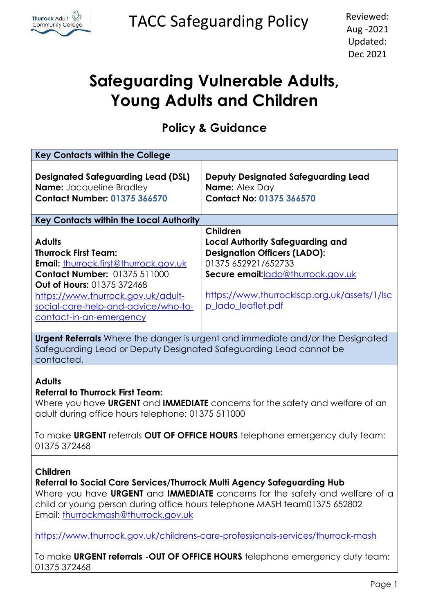

TACC Safeguarding Policy Reviewed:

# **Safeguarding Vulnerable Adults, Young Adults and Children**

**Policy & Guidance**

| <b>Key Contacts within the College</b>                                                                                                                                                                                                                                                        |                                                                                                                                                                                                                              |  |  |  |  |
|-----------------------------------------------------------------------------------------------------------------------------------------------------------------------------------------------------------------------------------------------------------------------------------------------|------------------------------------------------------------------------------------------------------------------------------------------------------------------------------------------------------------------------------|--|--|--|--|
| <b>Designated Safeguarding Lead (DSL)</b><br><b>Name:</b> Jacqueline Bradley<br><b>Contact Number: 01375 366570</b>                                                                                                                                                                           | <b>Deputy Designated Safeguarding Lead</b><br><b>Name: Alex Day</b><br><b>Contact No: 01375 366570</b>                                                                                                                       |  |  |  |  |
| <b>Key Contacts within the Local Authority</b>                                                                                                                                                                                                                                                |                                                                                                                                                                                                                              |  |  |  |  |
| <b>Adults</b><br><b>Thurrock First Team:</b><br><b>Email:</b> thurrock.first@thurrock.gov.uk<br><b>Contact Number: 01375 511000</b><br>Out of Hours: 01375 372468<br>https://www.thurrock.gov.uk/adult-<br>social-care-help-and-advice/who-to-<br>contact-in-an-emergency                     | Children<br><b>Local Authority Safeguarding and</b><br><b>Designation Officers (LADO):</b><br>01375 652921/652733<br>Secure email:lado@thurrock.gov.uk<br>https://www.thurrocklscp.org.uk/assets/1/lsc<br>p_lado_leaflet.pdf |  |  |  |  |
| <b>Urgent Referrals</b> Where the danger is urgent and immediate and/or the Designated<br>Safeguarding Lead or Deputy Designated Safeguarding Lead cannot be<br>contacted.                                                                                                                    |                                                                                                                                                                                                                              |  |  |  |  |
| <b>Adults</b><br><b>Referral to Thurrock First Team:</b><br>Where you have URGENT and IMMEDIATE concerns for the safety and welfare of an<br>adult during office hours telephone: 01375 511000<br>To make URGENT referrals OUT OF OFFICE HOURS telephone emergency duty team:<br>01375 372468 |                                                                                                                                                                                                                              |  |  |  |  |
| Children<br>Referral to Social Care Services/Thurrock Multi Agency Safeguarding Hub<br>Where you have URGENT and IMMEDIATE concerns for the safety and welfare of a<br>child or young person during office hours telephone MASH team01375 652802<br>Email: thurrockmash@thurrock.gov.uk       |                                                                                                                                                                                                                              |  |  |  |  |

[https://www.thurrock.gov.uk/childrens-care-professionals-services/thurrock-mash](about:blank)

To make **URGENT referrals -OUT OF OFFICE HOURS** telephone emergency duty team: 01375 372468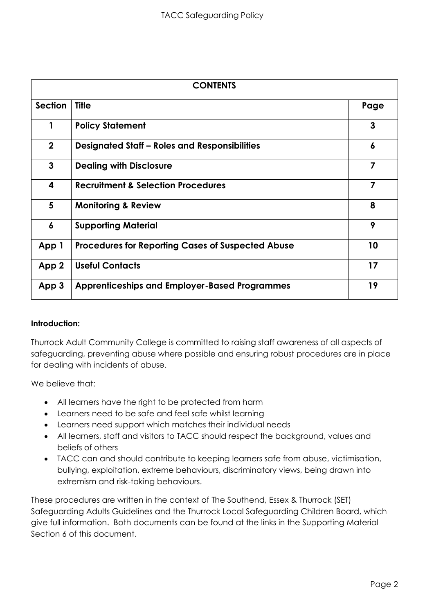| <b>CONTENTS</b> |                                                          |                |
|-----------------|----------------------------------------------------------|----------------|
| Section         | <b>Title</b>                                             | Page           |
| 1               | <b>Policy Statement</b>                                  | 3              |
| $\mathbf{2}$    | <b>Designated Staff - Roles and Responsibilities</b>     | 6              |
| 3               | <b>Dealing with Disclosure</b>                           | 7              |
| 4               | <b>Recruitment &amp; Selection Procedures</b>            | $\overline{7}$ |
| 5               | <b>Monitoring &amp; Review</b>                           | 8              |
| 6               | <b>Supporting Material</b>                               | 9              |
| App 1           | <b>Procedures for Reporting Cases of Suspected Abuse</b> | 10             |
| App 2           | <b>Useful Contacts</b>                                   | 17             |
| App 3           | <b>Apprenticeships and Employer-Based Programmes</b>     | 19             |

# **Introduction:**

Thurrock Adult Community College is committed to raising staff awareness of all aspects of safeguarding, preventing abuse where possible and ensuring robust procedures are in place for dealing with incidents of abuse.

We believe that:

- All learners have the right to be protected from harm
- Learners need to be safe and feel safe whilst learning
- Learners need support which matches their individual needs
- All learners, staff and visitors to TACC should respect the background, values and beliefs of others
- TACC can and should contribute to keeping learners safe from abuse, victimisation, bullying, exploitation, extreme behaviours, discriminatory views, being drawn into extremism and risk-taking behaviours.

These procedures are written in the context of The Southend, Essex & Thurrock (SET) Safeguarding Adults Guidelines and the Thurrock Local Safeguarding Children Board, which give full information. Both documents can be found at the links in the Supporting Material Section 6 of this document.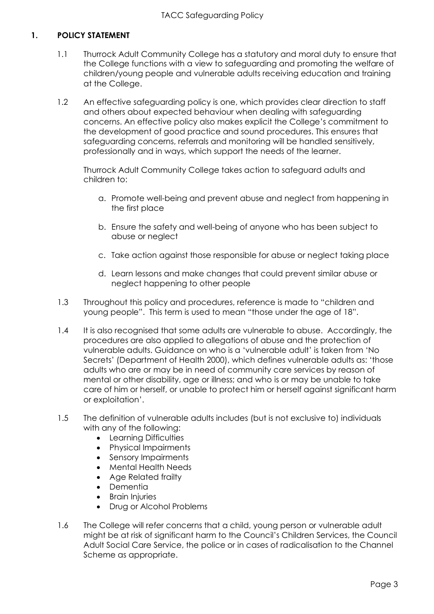# **1. POLICY STATEMENT**

- 1.1 Thurrock Adult Community College has a statutory and moral duty to ensure that the College functions with a view to safeguarding and promoting the welfare of children/young people and vulnerable adults receiving education and training at the College.
- 1.2 An effective safeguarding policy is one, which provides clear direction to staff and others about expected behaviour when dealing with safeguarding concerns. An effective policy also makes explicit the College's commitment to the development of good practice and sound procedures. This ensures that safeguarding concerns, referrals and monitoring will be handled sensitively, professionally and in ways, which support the needs of the learner.

Thurrock Adult Community College takes action to safeguard adults and children to:

- a. Promote well-being and prevent abuse and neglect from happening in the first place
- b. Ensure the safety and well-being of anyone who has been subject to abuse or neglect
- c. Take action against those responsible for abuse or neglect taking place
- d. Learn lessons and make changes that could prevent similar abuse or neglect happening to other people
- 1.3 Throughout this policy and procedures, reference is made to "children and young people". This term is used to mean "those under the age of 18".
- 1.4 It is also recognised that some adults are vulnerable to abuse. Accordingly, the procedures are also applied to allegations of abuse and the protection of vulnerable adults. Guidance on who is a 'vulnerable adult' is taken from 'No Secrets' (Department of Health 2000), which defines vulnerable adults as: 'those adults who are or may be in need of community care services by reason of mental or other disability, age or illness; and who is or may be unable to take care of him or herself, or unable to protect him or herself against significant harm or exploitation'.
- 1.5 The definition of vulnerable adults includes (but is not exclusive to) individuals with any of the following:
	- Learning Difficulties
	- Physical Impairments
	- Sensory Impairments
	- Mental Health Needs
	- Age Related frailty
	- Dementia
	- Brain Injuries
	- Drug or Alcohol Problems
- 1.6 The College will refer concerns that a child, young person or vulnerable adult might be at risk of significant harm to the Council's Children Services, the Council Adult Social Care Service, the police or in cases of radicalisation to the Channel Scheme as appropriate.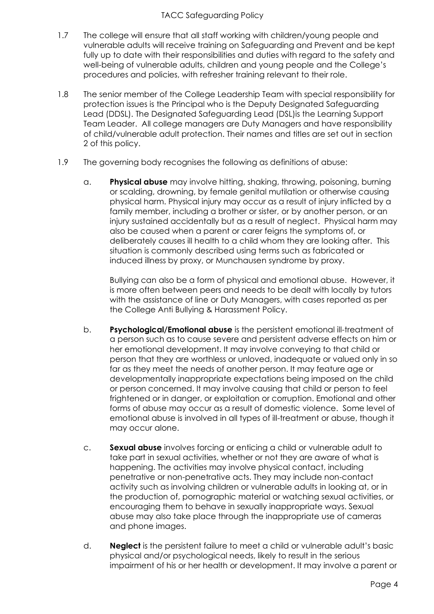## TACC Safeguarding Policy

- 1.7 The college will ensure that all staff working with children/young people and vulnerable adults will receive training on Safeguarding and Prevent and be kept fully up to date with their responsibilities and duties with regard to the safety and well-being of vulnerable adults, children and young people and the College's procedures and policies, with refresher training relevant to their role.
- 1.8 The senior member of the College Leadership Team with special responsibility for protection issues is the Principal who is the Deputy Designated Safeguarding Lead (DDSL). The Designated Safeguarding Lead (DSL)is the Learning Support Team Leader. All college managers are Duty Managers and have responsibility of child/vulnerable adult protection. Their names and titles are set out in section 2 of this policy.
- 1.9 The governing body recognises the following as definitions of abuse:
	- a. **Physical abuse** may involve hitting, shaking, throwing, poisoning, burning or scalding, drowning, by female genital mutilation or otherwise causing physical harm. Physical injury may occur as a result of injury inflicted by a family member, including a brother or sister, or by another person, or an injury sustained accidentally but as a result of neglect. Physical harm may also be caused when a parent or carer feigns the symptoms of, or deliberately causes ill health to a child whom they are looking after. This situation is commonly described using terms such as fabricated or induced illness by proxy, or Munchausen syndrome by proxy.

Bullying can also be a form of physical and emotional abuse. However, it is more often between peers and needs to be dealt with locally by tutors with the assistance of line or Duty Managers, with cases reported as per the College Anti Bullying & Harassment Policy.

- b. **Psychological/Emotional abuse** is the persistent emotional ill-treatment of a person such as to cause severe and persistent adverse effects on him or her emotional development. It may involve conveying to that child or person that they are worthless or unloved, inadequate or valued only in so far as they meet the needs of another person. It may feature age or developmentally inappropriate expectations being imposed on the child or person concerned. It may involve causing that child or person to feel frightened or in danger, or exploitation or corruption. Emotional and other forms of abuse may occur as a result of domestic violence. Some level of emotional abuse is involved in all types of ill-treatment or abuse, though it may occur alone.
- c. **Sexual abuse** involves forcing or enticing a child or vulnerable adult to take part in sexual activities, whether or not they are aware of what is happening. The activities may involve physical contact, including penetrative or non-penetrative acts. They may include non-contact activity such as involving children or vulnerable adults in looking at, or in the production of, pornographic material or watching sexual activities, or encouraging them to behave in sexually inappropriate ways. Sexual abuse may also take place through the inappropriate use of cameras and phone images.
- d. **Neglect** is the persistent failure to meet a child or vulnerable adult's basic physical and/or psychological needs, likely to result in the serious impairment of his or her health or development. It may involve a parent or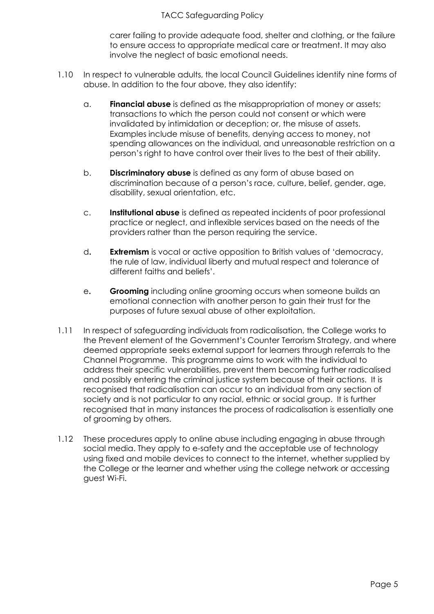## TACC Safeguarding Policy

carer failing to provide adequate food, shelter and clothing, or the failure to ensure access to appropriate medical care or treatment. It may also involve the neglect of basic emotional needs.

- 1.10 In respect to vulnerable adults, the local Council Guidelines identify nine forms of abuse. In addition to the four above, they also identify:
	- a. **Financial abuse** is defined as the misappropriation of money or assets; transactions to which the person could not consent or which were invalidated by intimidation or deception; or, the misuse of assets. Examples include misuse of benefits, denying access to money, not spending allowances on the individual, and unreasonable restriction on a person's right to have control over their lives to the best of their ability.
	- b. **Discriminatory abuse** is defined as any form of abuse based on discrimination because of a person's race, culture, belief, gender, age, disability, sexual orientation, etc.
	- c. **Institutional abuse** is defined as repeated incidents of poor professional practice or neglect, and inflexible services based on the needs of the providers rather than the person requiring the service.
	- d**. Extremism** is vocal or active opposition to British values of 'democracy, the rule of law, individual liberty and mutual respect and tolerance of different faiths and beliefs'.
	- e**. Grooming** including online grooming occurs when someone builds an emotional connection with another person to gain their trust for the purposes of future sexual abuse of other exploitation.
- 1.11 In respect of safeguarding individuals from radicalisation, the College works to the Prevent element of the Government's Counter Terrorism Strategy, and where deemed appropriate seeks external support for learners through referrals to the Channel Programme. This programme aims to work with the individual to address their specific vulnerabilities, prevent them becoming further radicalised and possibly entering the criminal justice system because of their actions. It is recognised that radicalisation can occur to an individual from any section of society and is not particular to any racial, ethnic or social group. It is further recognised that in many instances the process of radicalisation is essentially one of grooming by others.
- 1.12 These procedures apply to online abuse including engaging in abuse through social media. They apply to e-safety and the acceptable use of technology using fixed and mobile devices to connect to the internet, whether supplied by the College or the learner and whether using the college network or accessing guest Wi-Fi.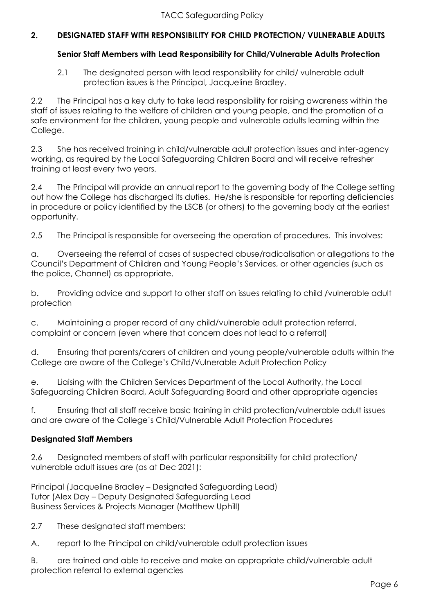# **2. DESIGNATED STAFF WITH RESPONSIBILITY FOR CHILD PROTECTION/ VULNERABLE ADULTS**

# **Senior Staff Members with Lead Responsibility for Child/Vulnerable Adults Protection**

2.1 The designated person with lead responsibility for child/ vulnerable adult protection issues is the Principal, Jacqueline Bradley.

2.2 The Principal has a key duty to take lead responsibility for raising awareness within the staff of issues relating to the welfare of children and young people, and the promotion of a safe environment for the children, young people and vulnerable adults learning within the College.

2.3 She has received training in child/vulnerable adult protection issues and inter-agency working, as required by the Local Safeguarding Children Board and will receive refresher training at least every two years.

2.4 The Principal will provide an annual report to the governing body of the College setting out how the College has discharged its duties. He/she is responsible for reporting deficiencies in procedure or policy identified by the LSCB (or others) to the governing body at the earliest opportunity.

2.5 The Principal is responsible for overseeing the operation of procedures. This involves:

a. Overseeing the referral of cases of suspected abuse/radicalisation or allegations to the Council's Department of Children and Young People's Services, or other agencies (such as the police, Channel) as appropriate.

b. Providing advice and support to other staff on issues relating to child /vulnerable adult protection

c. Maintaining a proper record of any child/vulnerable adult protection referral, complaint or concern (even where that concern does not lead to a referral)

d. Ensuring that parents/carers of children and young people/vulnerable adults within the College are aware of the College's Child/Vulnerable Adult Protection Policy

e. Liaising with the Children Services Department of the Local Authority, the Local Safeguarding Children Board, Adult Safeguarding Board and other appropriate agencies

f. Ensuring that all staff receive basic training in child protection/vulnerable adult issues and are aware of the College's Child/Vulnerable Adult Protection Procedures

# **Designated Staff Members**

2.6 Designated members of staff with particular responsibility for child protection/ vulnerable adult issues are (as at Dec 2021):

Principal (Jacqueline Bradley – Designated Safeguarding Lead) Tutor (Alex Day – Deputy Designated Safeguarding Lead Business Services & Projects Manager (Matthew Uphill)

2.7 These designated staff members:

A. report to the Principal on child/vulnerable adult protection issues

B. are trained and able to receive and make an appropriate child/vulnerable adult protection referral to external agencies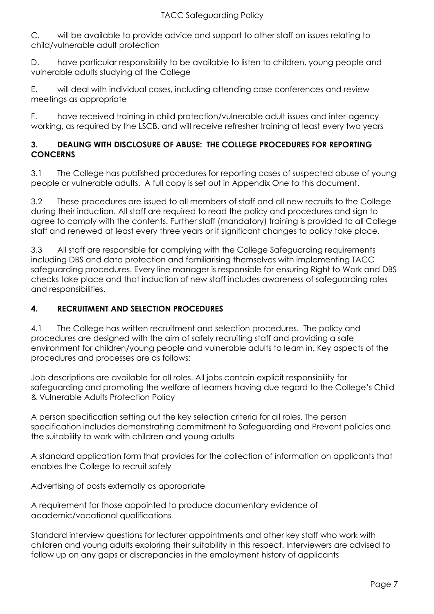C. will be available to provide advice and support to other staff on issues relating to child/vulnerable adult protection

D. have particular responsibility to be available to listen to children, young people and vulnerable adults studying at the College

E. will deal with individual cases, including attending case conferences and review meetings as appropriate

F. have received training in child protection/vulnerable adult issues and inter-agency working, as required by the LSCB, and will receive refresher training at least every two years

# **3. DEALING WITH DISCLOSURE OF ABUSE: THE COLLEGE PROCEDURES FOR REPORTING CONCERNS**

3.1 The College has published procedures for reporting cases of suspected abuse of young people or vulnerable adults. A full copy is set out in Appendix One to this document.

3.2 These procedures are issued to all members of staff and all new recruits to the College during their induction. All staff are required to read the policy and procedures and sign to agree to comply with the contents. Further staff (mandatory) training is provided to all College staff and renewed at least every three years or if significant changes to policy take place.

3.3 All staff are responsible for complying with the College Safeguarding requirements including DBS and data protection and familiarising themselves with implementing TACC safeguarding procedures. Every line manager is responsible for ensuring Right to Work and DBS checks take place and that induction of new staff includes awareness of safeguarding roles and responsibilities.

# **4. RECRUITMENT AND SELECTION PROCEDURES**

4.1 The College has written recruitment and selection procedures. The policy and procedures are designed with the aim of safely recruiting staff and providing a safe environment for children/young people and vulnerable adults to learn in. Key aspects of the procedures and processes are as follows:

Job descriptions are available for all roles. All jobs contain explicit responsibility for safeguarding and promoting the welfare of learners having due regard to the College's Child & Vulnerable Adults Protection Policy

A person specification setting out the key selection criteria for all roles. The person specification includes demonstrating commitment to Safeguarding and Prevent policies and the suitability to work with children and young adults

A standard application form that provides for the collection of information on applicants that enables the College to recruit safely

Advertising of posts externally as appropriate

A requirement for those appointed to produce documentary evidence of academic/vocational qualifications

Standard interview questions for lecturer appointments and other key staff who work with children and young adults exploring their suitability in this respect. Interviewers are advised to follow up on any gaps or discrepancies in the employment history of applicants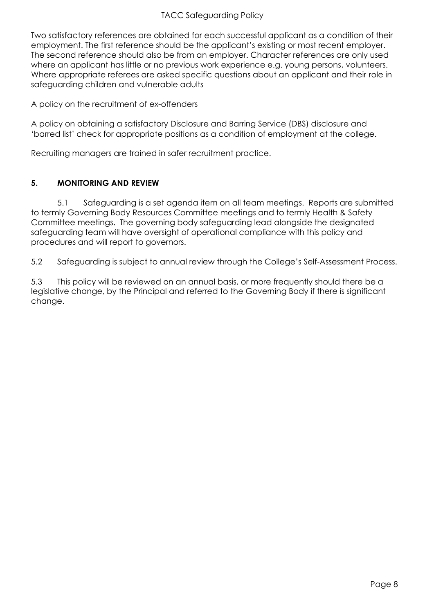## TACC Safeguarding Policy

Two satisfactory references are obtained for each successful applicant as a condition of their employment. The first reference should be the applicant's existing or most recent employer. The second reference should also be from an employer. Character references are only used where an applicant has little or no previous work experience e.g. young persons, volunteers. Where appropriate referees are asked specific questions about an applicant and their role in safeguarding children and vulnerable adults

A policy on the recruitment of ex-offenders

A policy on obtaining a satisfactory Disclosure and Barring Service (DBS) disclosure and 'barred list' check for appropriate positions as a condition of employment at the college.

Recruiting managers are trained in safer recruitment practice.

# **5. MONITORING AND REVIEW**

5.1 Safeguarding is a set agenda item on all team meetings. Reports are submitted to termly Governing Body Resources Committee meetings and to termly Health & Safety Committee meetings. The governing body safeguarding lead alongside the designated safeguarding team will have oversight of operational compliance with this policy and procedures and will report to governors.

5.2 Safeguarding is subject to annual review through the College's Self-Assessment Process.

5.3 This policy will be reviewed on an annual basis, or more frequently should there be a legislative change, by the Principal and referred to the Governing Body if there is significant change.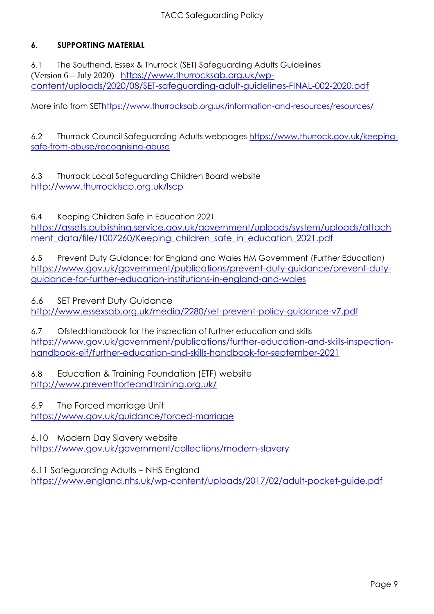# **6. SUPPORTING MATERIAL**

6.1 The Southend, Essex & Thurrock (SET) Safeguarding Adults Guidelines (Version 6 – July 2020) [https://www.thurrocksab.org.uk/wp](about:blank)[content/uploads/2020/08/SET-safeguarding-adult-guidelines-FINAL-002-2020.pdf](about:blank)

More info from SE[Thttps://www.thurrocksab.org.uk/information-and-resources/resources/](about:blank)

6.2 Thurrock Council Safeguarding Adults webpages [https://www.thurrock.gov.uk/keeping](about:blank)[safe-from-abuse/recognising-abuse](about:blank)

6.3 Thurrock Local Safeguarding Children Board website [http://www.thurrocklscp.org.uk/lscp](about:blank)

6.4 Keeping Children Safe in Education 2021

https://assets.publishing.service.gov.uk/government/uploads/system/uploads/attach ment\_data/file/1007260/Keeping\_children\_safe\_in\_education\_2021.pdf

6.5 Prevent Duty Guidance: for England and Wales HM Government (Further Education) [https://www.gov.uk/government/publications/prevent-duty-guidance/prevent-duty](about:blank)[guidance-for-further-education-institutions-in-england-and-wales](about:blank)

6.6 SET Prevent Duty Guidance

[http://www.essexsab.org.uk/media/2280/set-prevent-policy-guidance-v7.pdf](about:blank)

6.7 Ofsted:Handbook for the inspection of further education and skills [https://www.gov.uk/government/publications/further-education-and-skills-inspection](about:blank)[handbook-eif/further-education-and-skills-handbook-for-september-2021](about:blank)

6.8 Education & Training Foundation (ETF) website [http://www.preventforfeandtraining.org.uk/](about:blank)

6.9 The Forced marriage Unit [https://www.gov.uk/guidance/forced-marriage](about:blank)

6.10 Modern Day Slavery website

[https://www.gov.uk/government/collections/modern-slavery](about:blank)

6.11 Safeguarding Adults – NHS England

[https://www.england.nhs.uk/wp-content/uploads/2017/02/adult-pocket-guide.pdf](about:blank)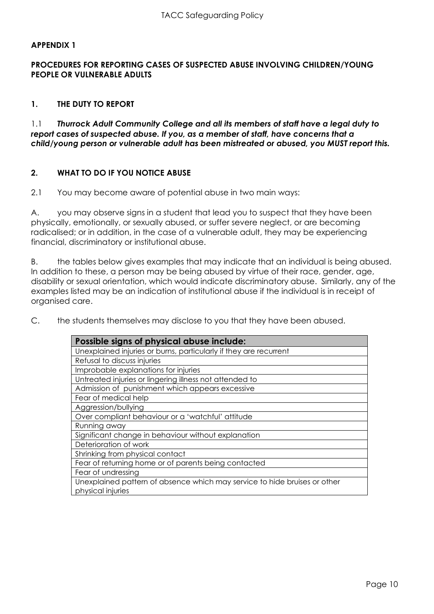## **APPENDIX 1**

## **PROCEDURES FOR REPORTING CASES OF SUSPECTED ABUSE INVOLVING CHILDREN/YOUNG PEOPLE OR VULNERABLE ADULTS**

## **1. THE DUTY TO REPORT**

1.1 *Thurrock Adult Community College and all its members of staff have a legal duty to report cases of suspected abuse. If you, as a member of staff, have concerns that a child/young person or vulnerable adult has been mistreated or abused, you MUST report this.*

## **2. WHAT TO DO IF YOU NOTICE ABUSE**

2.1 You may become aware of potential abuse in two main ways:

A. you may observe signs in a student that lead you to suspect that they have been physically, emotionally, or sexually abused, or suffer severe neglect, or are becoming radicalised; or in addition, in the case of a vulnerable adult, they may be experiencing financial, discriminatory or institutional abuse.

B. the tables below gives examples that may indicate that an individual is being abused. In addition to these, a person may be being abused by virtue of their race, gender, age, disability or sexual orientation, which would indicate discriminatory abuse. Similarly, any of the examples listed may be an indication of institutional abuse if the individual is in receipt of organised care.

C. the students themselves may disclose to you that they have been abused.

| Possible signs of physical abuse include:                                 |  |  |  |
|---------------------------------------------------------------------------|--|--|--|
| Unexplained injuries or burns, particularly if they are recurrent         |  |  |  |
| Refusal to discuss injuries                                               |  |  |  |
| Improbable explanations for injuries                                      |  |  |  |
| Untreated injuries or lingering illness not attended to                   |  |  |  |
| Admission of punishment which appears excessive                           |  |  |  |
| Fear of medical help                                                      |  |  |  |
| Aggression/bullying                                                       |  |  |  |
| Over compliant behaviour or a 'watchful' attitude                         |  |  |  |
| Running away                                                              |  |  |  |
| Significant change in behaviour without explanation                       |  |  |  |
| Deterioration of work                                                     |  |  |  |
| Shrinking from physical contact                                           |  |  |  |
| Fear of returning home or of parents being contacted                      |  |  |  |
| Fear of undressing                                                        |  |  |  |
| Unexplained pattern of absence which may service to hide bruises or other |  |  |  |
| physical injuries                                                         |  |  |  |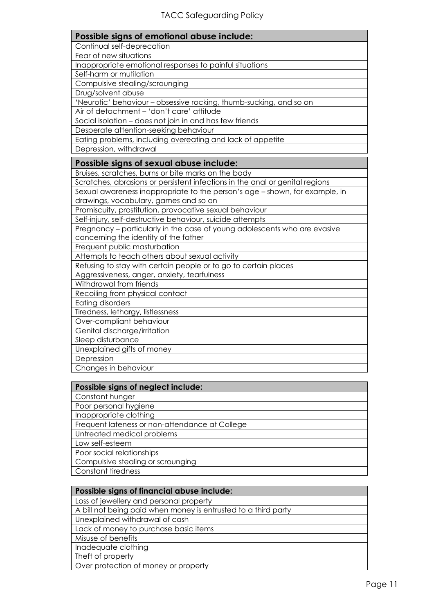| Possible signs of emotional abuse include:                                   |  |  |  |
|------------------------------------------------------------------------------|--|--|--|
| Continual self-deprecation                                                   |  |  |  |
| Fear of new situations                                                       |  |  |  |
| Inappropriate emotional responses to painful situations                      |  |  |  |
| Self-harm or mutilation                                                      |  |  |  |
| Compulsive stealing/scrounging                                               |  |  |  |
| Drug/solvent abuse                                                           |  |  |  |
| 'Neurotic' behaviour - obsessive rocking, thumb-sucking, and so on           |  |  |  |
| Air of detachment - 'don't care' attitude                                    |  |  |  |
| Social isolation - does not join in and has few friends                      |  |  |  |
| Desperate attention-seeking behaviour                                        |  |  |  |
| Eating problems, including overeating and lack of appetite                   |  |  |  |
| Depression, withdrawal                                                       |  |  |  |
| Possible signs of sexual abuse include:                                      |  |  |  |
| Bruises, scratches, burns or bite marks on the body                          |  |  |  |
| Scratches, abrasions or persistent infections in the anal or genital regions |  |  |  |
| Sexual awareness inappropriate to the person's age - shown, for example, in  |  |  |  |
| drawings, vocabulary, games and so on                                        |  |  |  |
| Promiscuity, prostitution, provocative sexual behaviour                      |  |  |  |
| Self-injury, self-destructive behaviour, suicide attempts                    |  |  |  |
| Pregnancy – particularly in the case of young adolescents who are evasive    |  |  |  |
| concerning the identity of the father                                        |  |  |  |
| Frequent public masturbation                                                 |  |  |  |
| Attempts to teach others about sexual activity                               |  |  |  |
| Refusing to stay with certain people or to go to certain places              |  |  |  |
| Aggressiveness, anger, anxiety, tearfulness                                  |  |  |  |
| Withdrawal from friends                                                      |  |  |  |
| Recoiling from physical contact                                              |  |  |  |
| <b>Eating disorders</b>                                                      |  |  |  |
| Tiredness, lethargy, listlessness                                            |  |  |  |
| Over-compliant behaviour                                                     |  |  |  |
| Genital discharge/irritation                                                 |  |  |  |
| Sleep disturbance                                                            |  |  |  |
| Unexplained gifts of money                                                   |  |  |  |
| Depression                                                                   |  |  |  |
| Changes in behaviour                                                         |  |  |  |
| $\sim$ $\sim$                                                                |  |  |  |

| Possible signs of neglect include:             |
|------------------------------------------------|
| Constant hunger                                |
| Poor personal hygiene                          |
| Inappropriate clothing                         |
| Frequent lateness or non-attendance at College |
| Untreated medical problems                     |
| Low self-esteem                                |
| Poor social relationships                      |
| Compulsive stealing or scrounging              |
| <b>Constant tiredness</b>                      |

| Possible signs of financial abuse include:                     |
|----------------------------------------------------------------|
| Loss of jewellery and personal property                        |
| A bill not being paid when money is entrusted to a third party |
| Unexplained withdrawal of cash                                 |
| Lack of money to purchase basic items                          |
| Misuse of benefits                                             |
| Inadequate clothing                                            |
| Theft of property                                              |
| Over protection of money or property                           |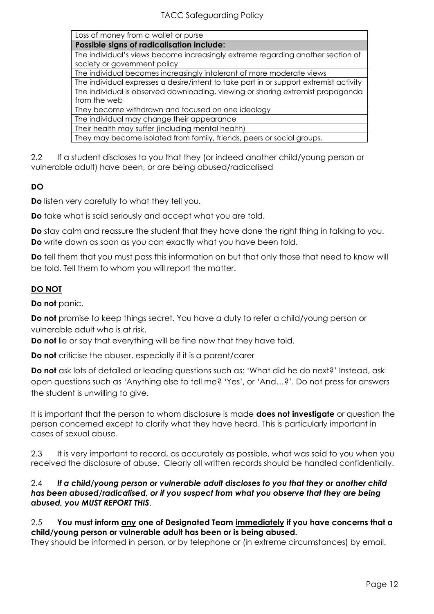| Loss of money from a wallet or purse |  |  |
|--------------------------------------|--|--|
|                                      |  |  |

**Possible signs of radicalisation include:**

The individual's views become increasingly extreme regarding another section of society or government policy

The individual becomes increasingly intolerant of more moderate views

The individual expresses a desire/intent to take part in or support extremist activity The individual is observed downloading, viewing or sharing extremist propaganda from the web

They become withdrawn and focused on one ideology

The individual may change their appearance

Their health may suffer (including mental health)

They may become isolated from family, friends, peers or social groups.

2.2 If a student discloses to you that they (or indeed another child/young person or vulnerable adult) have been, or are being abused/radicalised

# **DO**

**Do** listen very carefully to what they tell you.

**Do** take what is said seriously and accept what you are told.

**Do** stay calm and reassure the student that they have done the right thing in talking to you. **Do** write down as soon as you can exactly what you have been told.

**Do** tell them that you must pass this information on but that only those that need to know will be told. Tell them to whom you will report the matter.

# **DO NOT**

**Do not** panic.

**Do not** promise to keep things secret. You have a duty to refer a child/young person or vulnerable adult who is at risk.

**Do not** lie or say that everything will be fine now that they have told.

**Do not** criticise the abuser, especially if it is a parent/carer

**Do not** ask lots of detailed or leading questions such as: 'What did he do next?' Instead, ask open questions such as 'Anything else to tell me? 'Yes', or 'And…?'. Do not press for answers the student is unwilling to give.

It is important that the person to whom disclosure is made **does not investigate** or question the person concerned except to clarify what they have heard. This is particularly important in cases of sexual abuse.

2.3 It is very important to record, as accurately as possible, what was said to you when you received the disclosure of abuse. Clearly all written records should be handled confidentially.

## 2.4 *If a child/young person or vulnerable adult discloses to you that they or another child has been abused/radicalised, or if you suspect from what you observe that they are being abused, you MUST REPORT THIS*.

# 2.5 **You must inform any one of Designated Team immediately if you have concerns that a child/young person or vulnerable adult has been or is being abused.**

They should be informed in person, or by telephone or (in extreme circumstances) by email.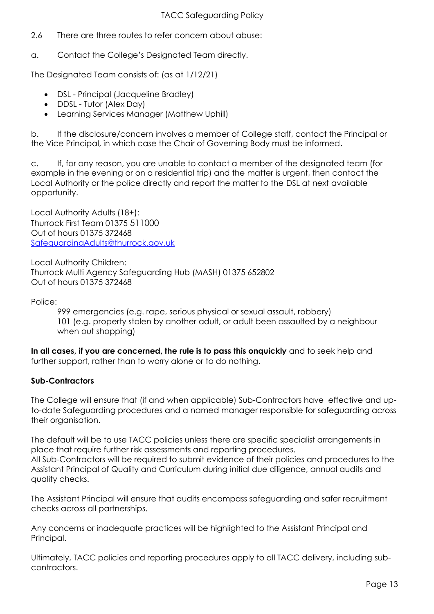- 2.6 There are three routes to refer concern about abuse:
- a. Contact the College's Designated Team directly.

The Designated Team consists of: (as at 1/12/21)

- DSL Principal (Jacqueline Bradley)
- DDSL Tutor (Alex Day)
- Learning Services Manager (Matthew Uphill)

b. If the disclosure/concern involves a member of College staff, contact the Principal or the Vice Principal, in which case the Chair of Governing Body must be informed.

c. If, for any reason, you are unable to contact a member of the designated team (for example in the evening or on a residential trip) and the matter is urgent, then contact the Local Authority or the police directly and report the matter to the DSL at next available opportunity.

Local Authority Adults (18+): Thurrock First Team 01375 511000 Out of hours 01375 372468 [SafeguardingAdults@thurrock.gov.uk](about:blank)

Local Authority Children: Thurrock Multi Agency Safeguarding Hub (MASH) 01375 652802 Out of hours 01375 372468

Police:

999 emergencies (e.g. rape, serious physical or sexual assault, robbery) 101 (e.g. property stolen by another adult, or adult been assaulted by a neighbour when out shopping)

**In all cases, if you are concerned, the rule is to pass this onquickly** and to seek help and further support, rather than to worry alone or to do nothing.

# **Sub-Contractors**

The College will ensure that (if and when applicable) Sub-Contractors have effective and upto-date Safeguarding procedures and a named manager responsible for safeguarding across their organisation.

The default will be to use TACC policies unless there are specific specialist arrangements in place that require further risk assessments and reporting procedures.

All Sub-Contractors will be required to submit evidence of their policies and procedures to the Assistant Principal of Quality and Curriculum during initial due diligence, annual audits and quality checks.

The Assistant Principal will ensure that audits encompass safeguarding and safer recruitment checks across all partnerships.

Any concerns or inadequate practices will be highlighted to the Assistant Principal and Principal.

Ultimately, TACC policies and reporting procedures apply to all TACC delivery, including subcontractors.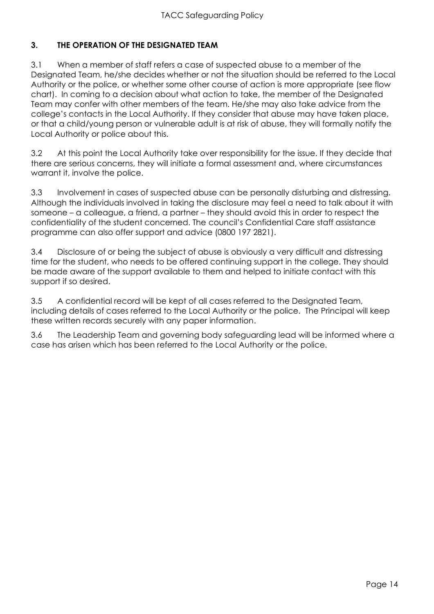# **3. THE OPERATION OF THE DESIGNATED TEAM**

3.1 When a member of staff refers a case of suspected abuse to a member of the Designated Team, he/she decides whether or not the situation should be referred to the Local Authority or the police, or whether some other course of action is more appropriate (see flow chart). In coming to a decision about what action to take, the member of the Designated Team may confer with other members of the team. He/she may also take advice from the college's contacts in the Local Authority. If they consider that abuse may have taken place, or that a child/young person or vulnerable adult is at risk of abuse, they will formally notify the Local Authority or police about this.

3.2 At this point the Local Authority take over responsibility for the issue. If they decide that there are serious concerns, they will initiate a formal assessment and, where circumstances warrant it, involve the police.

3.3 Involvement in cases of suspected abuse can be personally disturbing and distressing. Although the individuals involved in taking the disclosure may feel a need to talk about it with someone – a colleague, a friend, a partner – they should avoid this in order to respect the confidentiality of the student concerned. The council's Confidential Care staff assistance programme can also offer support and advice (0800 197 2821).

3.4 Disclosure of or being the subject of abuse is obviously a very difficult and distressing time for the student, who needs to be offered continuing support in the college. They should be made aware of the support available to them and helped to initiate contact with this support if so desired.

3.5 A confidential record will be kept of all cases referred to the Designated Team, including details of cases referred to the Local Authority or the police. The Principal will keep these written records securely with any paper information.

3.6 The Leadership Team and governing body safeguarding lead will be informed where a case has arisen which has been referred to the Local Authority or the police.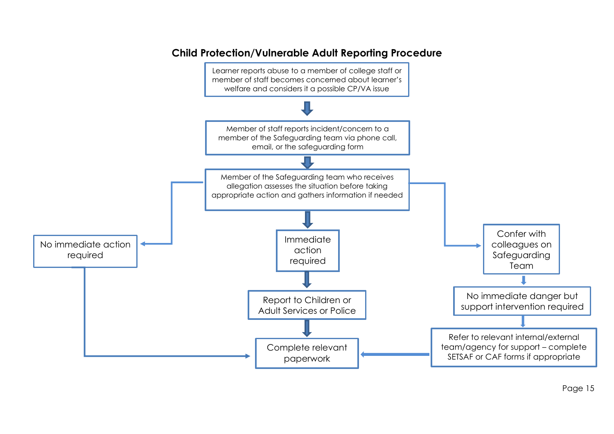

# **Child Protection/Vulnerable Adult Reporting Procedure**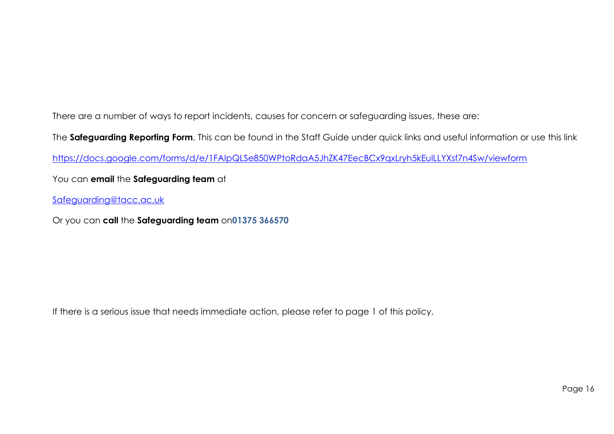There are a number of ways to report incidents, causes for concern or safeguarding issues, these are:

The **Safeguarding Reporting Form**. This can be found in the Staff Guide under quick links and useful information or use this link

[https://docs.google.com/forms/d/e/1FAIpQLSe850WPtoRdaA5JhZK47EecBCx9qxLryh5kEulLLYXsf7n4Sw/viewform](about:blank)

You can **email** the **Safeguarding team** at

[Safeguarding@tacc.ac.uk](about:blank)

Or you can **call** the **Safeguarding team** on**01375 366570**

If there is a serious issue that needs immediate action, please refer to page 1 of this policy.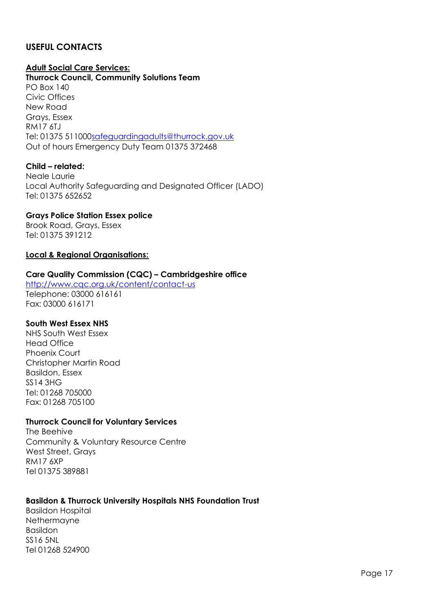# **USEFUL CONTACTS**

# **Adult Social Care Services:**

**Thurrock Council, Community Solutions Team** PO Box 140 Civic Offices New Road Grays, Essex RM17 6TJ Tel: 01375 51100[0safeguardingadults@thurrock.gov.uk](about:blank) Out of hours Emergency Duty Team 01375 372468

## **Child – related:**

Neale Laurie Local Authority Safeguarding and Designated Officer (LADO) Tel: 01375 652652

## **Grays Police Station Essex police**

Brook Road, Grays, Essex Tel: 01375 391212

## **Local & Regional Organisations:**

## **Care Quality Commission (CQC) – Cambridgeshire office**

[http://www.cqc.org.uk/content/contact-us](about:blank) Telephone: 03000 616161 Fax: 03000 616171

#### **South West Essex NHS**

NHS South West Essex Head Office Phoenix Court Christopher Martin Road Basildon, Essex SS14 3HG Tel: 01268 705000 Fax: 01268 705100

#### **Thurrock Council for Voluntary Services**

The Beehive Community & Voluntary Resource Centre West Street, Grays RM17 6XP Tel 01375 389881

#### **Basildon & Thurrock University Hospitals NHS Foundation Trust**

Basildon Hospital Nethermayne Basildon SS16 5NL Tel 01268 524900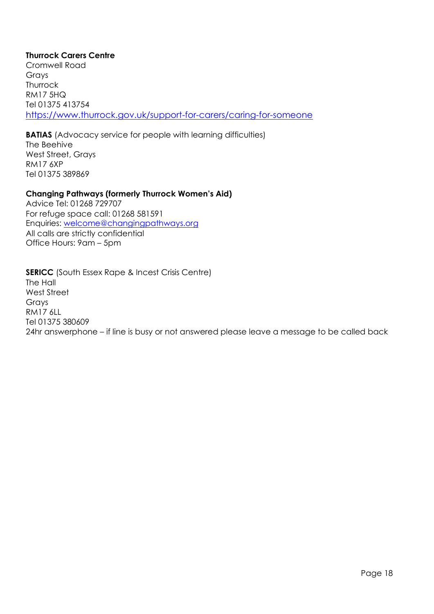# **Thurrock Carers Centre**

Cromwell Road Grays Thurrock RM17 5HQ Tel 01375 413754 [https://www.thurrock.gov.uk/support-for-carers/caring-for-someone](about:blank)

**BATIAS** (Advocacy service for people with learning difficulties) The Beehive West Street, Grays RM17 6XP Tel 01375 389869

## **Changing Pathways (formerly Thurrock Women's Aid)**

Advice Tel: 01268 729707 For refuge space call: 01268 581591 Enquiries: [welcome@changingpathways.org](about:blank) All calls are strictly confidential Office Hours: 9am – 5pm

**SERICC** (South Essex Rape & Incest Crisis Centre) The Hall West Street Grays RM17 6LL Tel 01375 380609 24hr answerphone – if line is busy or not answered please leave a message to be called back